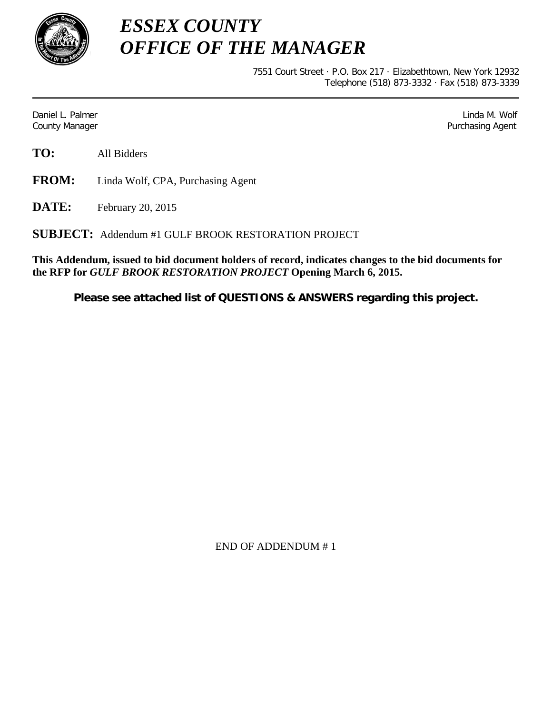

*ESSEX COUNTY OFFICE OF THE MANAGER*

> 7551 Court Street · P.O. Box 217 · Elizabethtown, New York 12932 Telephone (518) 873-3332 · Fax (518) 873-3339

Daniel L. Palmer Later and the control of the control of the control of the control of the control of the control of the control of the control of the control of the control of the control of the control of the control of County Manager **Purchasing Agent** County Manager **Purchasing Agent** County Manager

**TO:** All Bidders

**FROM:** Linda Wolf, CPA, Purchasing Agent

**DATE:** February 20, 2015

**SUBJECT:** Addendum #1 GULF BROOK RESTORATION PROJECT

**This Addendum, issued to bid document holders of record, indicates changes to the bid documents for the RFP for** *GULF BROOK RESTORATION PROJECT* **Opening March 6, 2015.**

**Please see attached list of QUESTIONS & ANSWERS regarding this project.**

END OF ADDENDUM # 1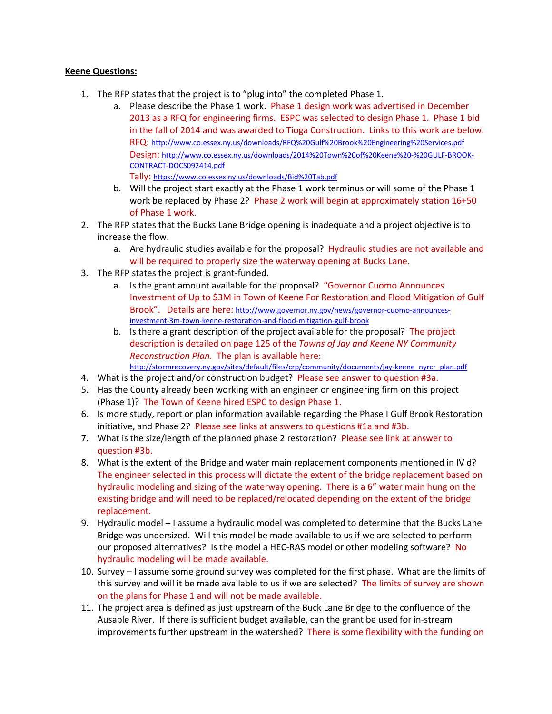## **Keene Questions:**

- 1. The RFP states that the project is to "plug into" the completed Phase 1.
	- a. Please describe the Phase 1 work. Phase 1 design work was advertised in December 2013 as a RFQ for engineering firms. ESPC was selected to design Phase 1. Phase 1 bid in the fall of 2014 and was awarded to Tioga Construction. Links to this work are below. RFQ:<http://www.co.essex.ny.us/downloads/RFQ%20Gulf%20Brook%20Engineering%20Services.pdf> Design: [http://www.co.essex.ny.us/downloads/2014%20Town%20of%20Keene%20-%20GULF-BROOK-](http://www.co.essex.ny.us/downloads/2014%20Town%20of%20Keene%20-%20GULF-BROOK-CONTRACT-DOCS092414.pdf)[CONTRACT-DOCS092414.pdf](http://www.co.essex.ny.us/downloads/2014%20Town%20of%20Keene%20-%20GULF-BROOK-CONTRACT-DOCS092414.pdf) Tally: <https://www.co.essex.ny.us/downloads/Bid%20Tab.pdf>
	- b. Will the project start exactly at the Phase 1 work terminus or will some of the Phase 1 work be replaced by Phase 2? Phase 2 work will begin at approximately station 16+50 of Phase 1 work.
- 2. The RFP states that the Bucks Lane Bridge opening is inadequate and a project objective is to increase the flow.
	- a. Are hydraulic studies available for the proposal? Hydraulic studies are not available and will be required to properly size the waterway opening at Bucks Lane.
- 3. The RFP states the project is grant-funded.
	- a. Is the grant amount available for the proposal? "Governor Cuomo Announces Investment of Up to \$3M in Town of Keene For Restoration and Flood Mitigation of Gulf Brook". Details are here: [http://www.governor.ny.gov/news/governor-cuomo-announces](http://www.governor.ny.gov/news/governor-cuomo-announces-investment-3m-town-keene-restoration-and-flood-mitigation-gulf-brook)[investment-3m-town-keene-restoration-and-flood-mitigation-gulf-brook](http://www.governor.ny.gov/news/governor-cuomo-announces-investment-3m-town-keene-restoration-and-flood-mitigation-gulf-brook)
	- b. Is there a grant description of the project available for the proposal? The project description is detailed on page 125 of the *Towns of Jay and Keene NY Community Reconstruction Plan.* The plan is available here: [http://stormrecovery.ny.gov/sites/default/files/crp/community/documents/jay-keene\\_nyrcr\\_plan.pdf](http://stormrecovery.ny.gov/sites/default/files/crp/community/documents/jay-keene_nyrcr_plan.pdf)
- 4. What is the project and/or construction budget? Please see answer to question #3a.
- 5. Has the County already been working with an engineer or engineering firm on this project (Phase 1)? The Town of Keene hired ESPC to design Phase 1.
- 6. Is more study, report or plan information available regarding the Phase I Gulf Brook Restoration initiative, and Phase 2? Please see links at answers to questions #1a and #3b.
- 7. What is the size/length of the planned phase 2 restoration? Please see link at answer to question #3b.
- 8. What is the extent of the Bridge and water main replacement components mentioned in IV d? The engineer selected in this process will dictate the extent of the bridge replacement based on hydraulic modeling and sizing of the waterway opening. There is a 6" water main hung on the existing bridge and will need to be replaced/relocated depending on the extent of the bridge replacement.
- 9. Hydraulic model I assume a hydraulic model was completed to determine that the Bucks Lane Bridge was undersized. Will this model be made available to us if we are selected to perform our proposed alternatives? Is the model a HEC-RAS model or other modeling software? No hydraulic modeling will be made available.
- 10. Survey I assume some ground survey was completed for the first phase. What are the limits of this survey and will it be made available to us if we are selected? The limits of survey are shown on the plans for Phase 1 and will not be made available.
- 11. The project area is defined as just upstream of the Buck Lane Bridge to the confluence of the Ausable River. If there is sufficient budget available, can the grant be used for in-stream improvements further upstream in the watershed? There is some flexibility with the funding on